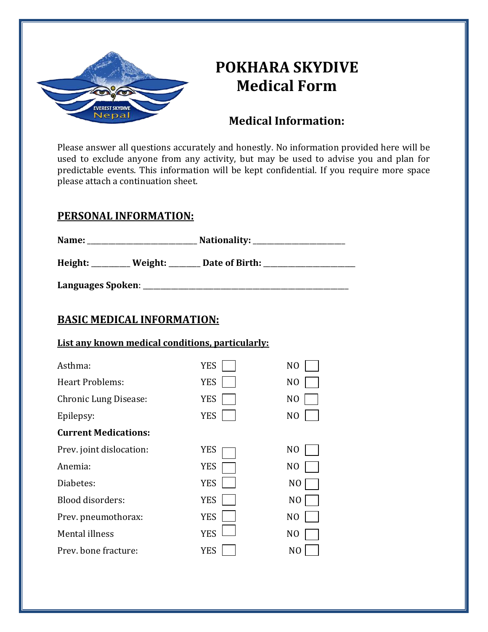

# **POKHARA SKYDIVE Medical Form**

### **Medical Information:**

Please answer all questions accurately and honestly. No information provided here will be used to exclude anyone from any activity, but may be used to advise you and plan for predictable events. This information will be kept confidential. If you require more space please attach a continuation sheet.

#### **PERSONAL INFORMATION:**

| Name:   |         | Nationality:   |  |
|---------|---------|----------------|--|
| Height: | Weight: | Date of Birth: |  |

**Languages Spoken**: \_\_\_\_\_\_\_\_\_\_\_\_\_\_\_\_\_\_\_\_\_\_\_\_\_\_\_\_\_\_\_\_\_\_\_\_\_\_\_\_\_\_\_\_\_\_\_\_\_\_\_\_\_\_\_\_\_\_

## **BASIC MEDICAL INFORMATION:**

#### **List any known medical conditions, particularly:**

| Asthma:                      | <b>YES</b> | N <sub>O</sub> |
|------------------------------|------------|----------------|
| <b>Heart Problems:</b>       | <b>YES</b> | N <sub>O</sub> |
| <b>Chronic Lung Disease:</b> | <b>YES</b> | N <sub>O</sub> |
| Epilepsy:                    | <b>YES</b> | N <sub>O</sub> |
| <b>Current Medications:</b>  |            |                |
| Prev. joint dislocation:     | YES        | N <sub>O</sub> |
| Anemia:                      | YES        | N <sub>O</sub> |
| Diabetes:                    | <b>YES</b> | N0             |
| Blood disorders:             | <b>YES</b> | N <sub>O</sub> |
| Prev. pneumothorax:          | <b>YES</b> | N <sub>O</sub> |
| Mental illness               | <b>YES</b> | N <sub>O</sub> |
| Prev. bone fracture:         | YES        | NO             |
|                              |            |                |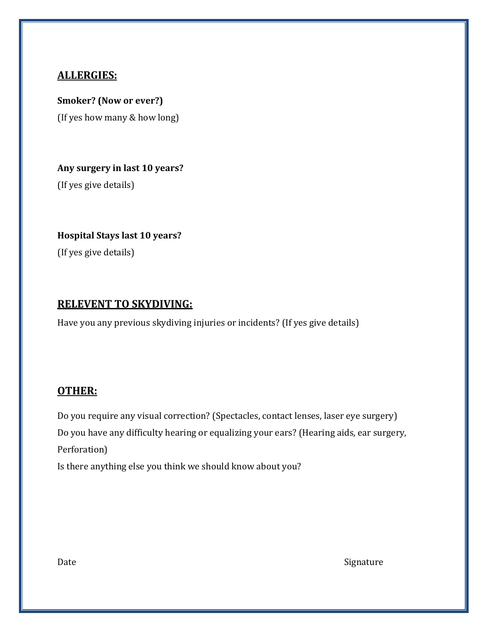#### **ALLERGIES:**

**Smoker? (Now or ever?)** (If yes how many & how long)

**Any surgery in last 10 years?**

(If yes give details)

**Hospital Stays last 10 years?**

(If yes give details)

#### **RELEVENT TO SKYDIVING:**

Have you any previous skydiving injuries or incidents? (If yes give details)

#### **OTHER:**

Do you require any visual correction? (Spectacles, contact lenses, laser eye surgery) Do you have any difficulty hearing or equalizing your ears? (Hearing aids, ear surgery, Perforation) Is there anything else you think we should know about you?

Date Signature